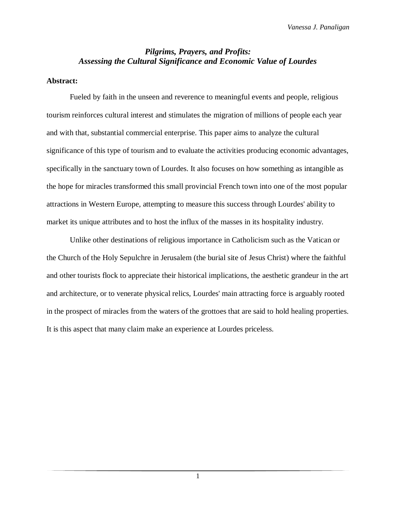## *Pilgrims, Prayers, and Profits: Assessing the Cultural Significance and Economic Value of Lourdes*

## **Abstract:**

Fueled by faith in the unseen and reverence to meaningful events and people, religious tourism reinforces cultural interest and stimulates the migration of millions of people each year and with that, substantial commercial enterprise. This paper aims to analyze the cultural significance of this type of tourism and to evaluate the activities producing economic advantages, specifically in the sanctuary town of Lourdes. It also focuses on how something as intangible as the hope for miracles transformed this small provincial French town into one of the most popular attractions in Western Europe, attempting to measure this success through Lourdes' ability to market its unique attributes and to host the influx of the masses in its hospitality industry.

Unlike other destinations of religious importance in Catholicism such as the Vatican or the Church of the Holy Sepulchre in Jerusalem (the burial site of Jesus Christ) where the faithful and other tourists flock to appreciate their historical implications, the aesthetic grandeur in the art and architecture, or to venerate physical relics, Lourdes' main attracting force is arguably rooted in the prospect of miracles from the waters of the grottoes that are said to hold healing properties. It is this aspect that many claim make an experience at Lourdes priceless.

1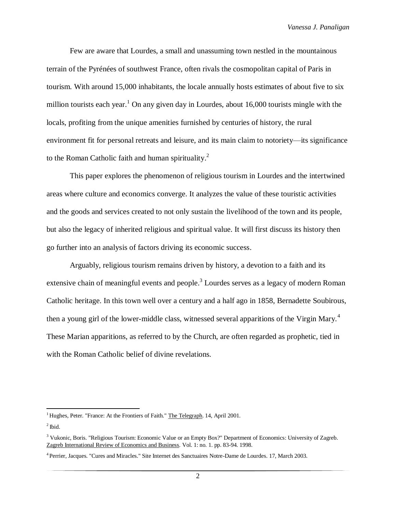Few are aware that Lourdes, a small and unassuming town nestled in the mountainous terrain of the Pyrénées of southwest France, often rivals the cosmopolitan capital of Paris in tourism. With around 15,000 inhabitants, the locale annually hosts estimates of about five to six million tourists each year.<sup>1</sup> On any given day in Lourdes, about 16,000 tourists mingle with the locals, profiting from the unique amenities furnished by centuries of history, the rural environment fit for personal retreats and leisure, and its main claim to notoriety—its significance to the Roman Catholic faith and human spirituality.<sup>2</sup>

This paper explores the phenomenon of religious tourism in Lourdes and the intertwined areas where culture and economics converge. It analyzes the value of these touristic activities and the goods and services created to not only sustain the livelihood of the town and its people, but also the legacy of inherited religious and spiritual value. It will first discuss its history then go further into an analysis of factors driving its economic success.

Arguably, religious tourism remains driven by history, a devotion to a faith and its extensive chain of meaningful events and people.<sup>3</sup> Lourdes serves as a legacy of modern Roman Catholic heritage. In this town well over a century and a half ago in 1858, Bernadette Soubirous, then a young girl of the lower-middle class, witnessed several apparitions of the Virgin Mary.<sup>4</sup> These Marian apparitions, as referred to by the Church, are often regarded as prophetic, tied in with the Roman Catholic belief of divine revelations.

<sup>&</sup>lt;sup>1</sup> Hughes, Peter. "France: At the Frontiers of Faith." The Telegraph. 14, April 2001.

 $<sup>2</sup>$  Ibid.</sup>

<sup>3</sup> Vukonic, Boris. "Religious Tourism: Economic Value or an Empty Box?" Department of Economics: University of Zagreb. Zagreb International Review of Economics and Business. Vol. 1: no. 1. pp. 83-94. 1998.

<sup>4</sup> Perrier, Jacques. "Cures and Miracles." Site Internet des Sanctuaires Notre-Dame de Lourdes. 17, March 2003.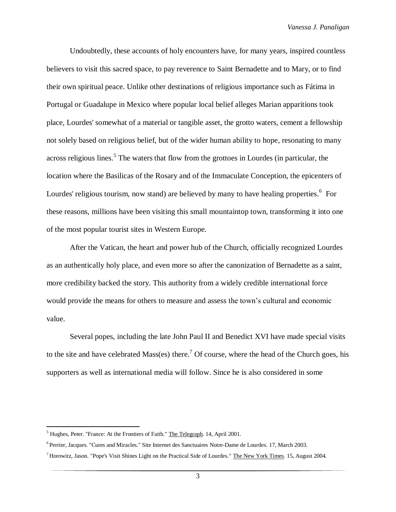Undoubtedly, these accounts of holy encounters have, for many years, inspired countless believers to visit this sacred space, to pay reverence to Saint Bernadette and to Mary, or to find their own spiritual peace. Unlike other destinations of religious importance such as Fátima in Portugal or Guadalupe in Mexico where popular local belief alleges Marian apparitions took place, Lourdes' somewhat of a material or tangible asset, the grotto waters, cement a fellowship not solely based on religious belief, but of the wider human ability to hope, resonating to many across religious lines.<sup>5</sup> The waters that flow from the grottoes in Lourdes (in particular, the location where the Basilicas of the Rosary and of the Immaculate Conception, the epicenters of Lourdes' religious tourism, now stand) are believed by many to have healing properties.<sup>6</sup> For these reasons, millions have been visiting this small mountaintop town, transforming it into one of the most popular tourist sites in Western Europe.

After the Vatican, the heart and power hub of the Church, officially recognized Lourdes as an authentically holy place, and even more so after the canonization of Bernadette as a saint, more credibility backed the story. This authority from a widely credible international force would provide the means for others to measure and assess the town's cultural and economic value.

Several popes, including the late John Paul II and Benedict XVI have made special visits to the site and have celebrated Mass(es) there.<sup>7</sup> Of course, where the head of the Church goes, his supporters as well as international media will follow. Since he is also considered in some

<sup>&</sup>lt;sup>5</sup> Hughes, Peter. "France: At the Frontiers of Faith." The Telegraph. 14, April 2001.

<sup>&</sup>lt;sup>6</sup> Perrier, Jacques. "Cures and Miracles." Site Internet des Sanctuaires Notre-Dame de Lourdes. 17, March 2003.

 $<sup>7</sup>$  Horowitz, Jason. "Pope's Visit Shines Light on the Practical Side of Lourdes." The New York Times. 15, August 2004.</sup>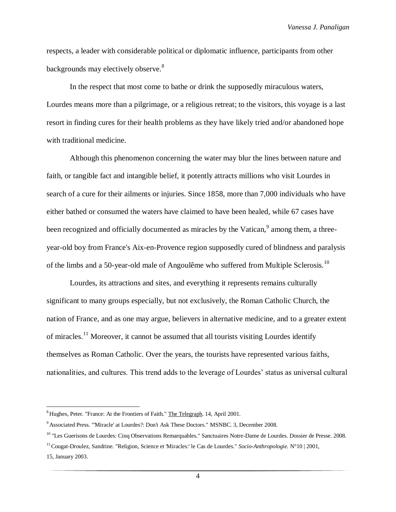*Vanessa J. Panaligan*

respects, a leader with considerable political or diplomatic influence, participants from other backgrounds may electively observe.<sup>8</sup>

In the respect that most come to bathe or drink the supposedly miraculous waters, Lourdes means more than a pilgrimage, or a religious retreat; to the visitors, this voyage is a last resort in finding cures for their health problems as they have likely tried and/or abandoned hope with traditional medicine.

Although this phenomenon concerning the water may blur the lines between nature and faith, or tangible fact and intangible belief, it potently attracts millions who visit Lourdes in search of a cure for their ailments or injuries. Since 1858, more than 7,000 individuals who have either bathed or consumed the waters have claimed to have been healed, while 67 cases have been recognized and officially documented as miracles by the Vatican, $9$  among them, a threeyear-old boy from France's Aix-en-Provence region supposedly cured of blindness and paralysis of the limbs and a 50-year-old male of Angoulême who suffered from Multiple Sclerosis.<sup>10</sup>

Lourdes, its attractions and sites, and everything it represents remains culturally significant to many groups especially, but not exclusively, the Roman Catholic Church, the nation of France, and as one may argue, believers in alternative medicine, and to a greater extent of miracles.<sup>11</sup> Moreover, it cannot be assumed that all tourists visiting Lourdes identify themselves as Roman Catholic. Over the years, the tourists have represented various faiths, nationalities, and cultures. This trend adds to the leverage of Lourdes' status as universal cultural

 $\overline{\phantom{a}}$ 

<sup>8</sup> Hughes, Peter. "France: At the Frontiers of Faith." The Telegraph. 14, April 2001.

<sup>9</sup> Associated Press. "'Miracle' at Lourdes?: Don't Ask These Doctors." MSNBC. 3, December 2008.

<sup>&</sup>lt;sup>10</sup> "Les Guerisons de Lourdes: Cinq Observations Remarquables." Sanctuaires Notre-Dame de Lourdes. Dossier de Presse. 2008.

<sup>11</sup>Cougat-Droulez, Sandrine. "Religion, Science et 'Miracles:' le Cas de Lourdes." *Socio-Anthropologie.* N°10 | 2001,

<sup>15,</sup> January 2003.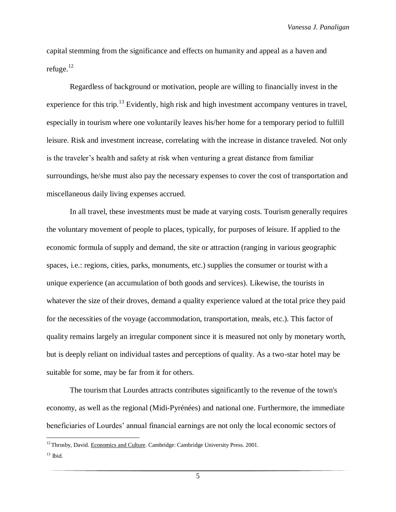*Vanessa J. Panaligan*

capital stemming from the significance and effects on humanity and appeal as a haven and refuge.<sup>12</sup>

Regardless of background or motivation, people are willing to financially invest in the experience for this trip.<sup>13</sup> Evidently, high risk and high investment accompany ventures in travel, especially in tourism where one voluntarily leaves his/her home for a temporary period to fulfill leisure. Risk and investment increase, correlating with the increase in distance traveled. Not only is the traveler's health and safety at risk when venturing a great distance from familiar surroundings, he/she must also pay the necessary expenses to cover the cost of transportation and miscellaneous daily living expenses accrued.

In all travel, these investments must be made at varying costs. Tourism generally requires the voluntary movement of people to places, typically, for purposes of leisure. If applied to the economic formula of supply and demand, the site or attraction (ranging in various geographic spaces, i.e.: regions, cities, parks, monuments, etc.) supplies the consumer or tourist with a unique experience (an accumulation of both goods and services). Likewise, the tourists in whatever the size of their droves, demand a quality experience valued at the total price they paid for the necessities of the voyage (accommodation, transportation, meals, etc.). This factor of quality remains largely an irregular component since it is measured not only by monetary worth, but is deeply reliant on individual tastes and perceptions of quality. As a two-star hotel may be suitable for some, may be far from it for others.

The tourism that Lourdes attracts contributes significantly to the revenue of the town's economy, as well as the regional (Midi-Pyrénées) and national one. Furthermore, the immediate beneficiaries of Lourdes' annual financial earnings are not only the local economic sectors of

 $\overline{\phantom{a}}$ 

<sup>&</sup>lt;sup>12</sup> Throsby, David. Economics and Culture. Cambridge: Cambridge University Press. 2001.  $13$  Ibid.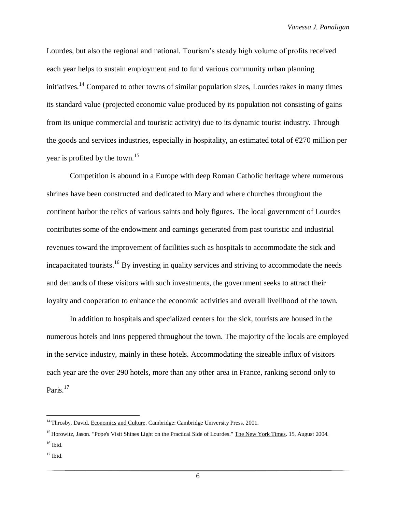Lourdes, but also the regional and national. Tourism's steady high volume of profits received each year helps to sustain employment and to fund various community urban planning initiatives.<sup>14</sup> Compared to other towns of similar population sizes, Lourdes rakes in many times its standard value (projected economic value produced by its population not consisting of gains from its unique commercial and touristic activity) due to its dynamic tourist industry. Through the goods and services industries, especially in hospitality, an estimated total of  $\epsilon$ 270 million per year is profited by the town.<sup>15</sup>

Competition is abound in a Europe with deep Roman Catholic heritage where numerous shrines have been constructed and dedicated to Mary and where churches throughout the continent harbor the relics of various saints and holy figures. The local government of Lourdes contributes some of the endowment and earnings generated from past touristic and industrial revenues toward the improvement of facilities such as hospitals to accommodate the sick and incapacitated tourists.<sup>16</sup> By investing in quality services and striving to accommodate the needs and demands of these visitors with such investments, the government seeks to attract their loyalty and cooperation to enhance the economic activities and overall livelihood of the town.

In addition to hospitals and specialized centers for the sick, tourists are housed in the numerous hotels and inns peppered throughout the town. The majority of the locals are employed in the service industry, mainly in these hotels. Accommodating the sizeable influx of visitors each year are the over 290 hotels, more than any other area in France, ranking second only to Paris.<sup>17</sup>

 $\overline{\phantom{a}}$ 

<sup>&</sup>lt;sup>14</sup> Throsby, David. Economics and Culture. Cambridge: Cambridge University Press. 2001.

<sup>&</sup>lt;sup>15</sup> Horowitz, Jason. "Pope's Visit Shines Light on the Practical Side of Lourdes." The New York Times. 15, August 2004.  $16$  Ibid.

 $17$  Ibid.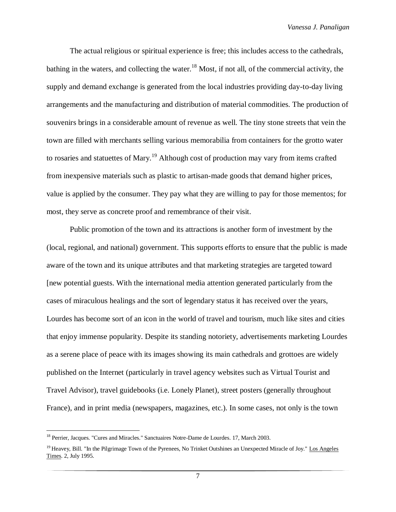The actual religious or spiritual experience is free; this includes access to the cathedrals, bathing in the waters, and collecting the water.<sup>18</sup> Most, if not all, of the commercial activity, the supply and demand exchange is generated from the local industries providing day-to-day living arrangements and the manufacturing and distribution of material commodities. The production of souvenirs brings in a considerable amount of revenue as well. The tiny stone streets that vein the town are filled with merchants selling various memorabilia from containers for the grotto water to rosaries and statuettes of Mary.<sup>19</sup> Although cost of production may vary from items crafted from inexpensive materials such as plastic to artisan-made goods that demand higher prices, value is applied by the consumer. They pay what they are willing to pay for those mementos; for most, they serve as concrete proof and remembrance of their visit.

Public promotion of the town and its attractions is another form of investment by the (local, regional, and national) government. This supports efforts to ensure that the public is made aware of the town and its unique attributes and that marketing strategies are targeted toward [new potential guests. With the international media attention generated particularly from the cases of miraculous healings and the sort of legendary status it has received over the years, Lourdes has become sort of an icon in the world of travel and tourism, much like sites and cities that enjoy immense popularity. Despite its standing notoriety, advertisements marketing Lourdes as a serene place of peace with its images showing its main cathedrals and grottoes are widely published on the Internet (particularly in travel agency websites such as Virtual Tourist and Travel Advisor), travel guidebooks (i.e. Lonely Planet), street posters (generally throughout France), and in print media (newspapers, magazines, etc.). In some cases, not only is the town

<sup>&</sup>lt;sup>18</sup> Perrier, Jacques. "Cures and Miracles." Sanctuaires Notre-Dame de Lourdes. 17, March 2003.

<sup>&</sup>lt;sup>19</sup> Heavey, Bill. "In the Pilgrimage Town of the Pyrenees, No Trinket Outshines an Unexpected Miracle of Joy." Los Angeles Times. 2, July 1995.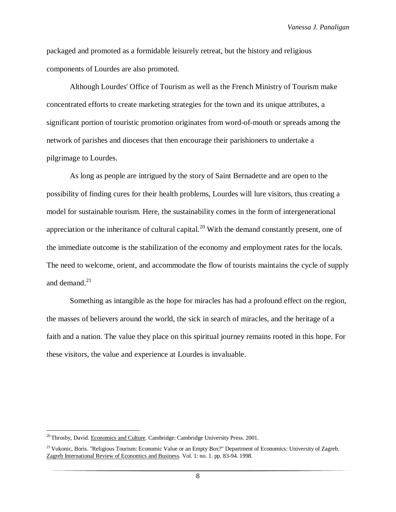*Vanessa J. Panaligan*

packaged and promoted as a formidable leisurely retreat, but the history and religious components of Lourdes are also promoted.

Although Lourdes' Office of Tourism as well as the French Ministry of Tourism make concentrated efforts to create marketing strategies for the town and its unique attributes, a significant portion of touristic promotion originates from word-of-mouth or spreads among the network of parishes and dioceses that then encourage their parishioners to undertake a pilgrimage to Lourdes.

As long as people are intrigued by the story of Saint Bernadette and are open to the possibility of finding cures for their health problems, Lourdes will lure visitors, thus creating a model for sustainable tourism. Here, the sustainability comes in the form of intergenerational appreciation or the inheritance of cultural capital.<sup>20</sup> With the demand constantly present, one of the immediate outcome is the stabilization of the economy and employment rates for the locals. The need to welcome, orient, and accommodate the flow of tourists maintains the cycle of supply and demand. $^{21}$ 

Something as intangible as the hope for miracles has had a profound effect on the region, the masses of believers around the world, the sick in search of miracles, and the heritage of a faith and a nation. The value they place on this spiritual journey remains rooted in this hope. For these visitors, the value and experience at Lourdes is invaluable.

<sup>&</sup>lt;sup>20</sup>Throsby, David. Economics and Culture. Cambridge: Cambridge University Press. 2001.

<sup>&</sup>lt;sup>21</sup> Vukonic, Boris. "Religious Tourism: Economic Value or an Empty Box?" Department of Economics: University of Zagreb. Zagreb International Review of Economics and Business. Vol. 1: no. 1. pp. 83-94. 1998.